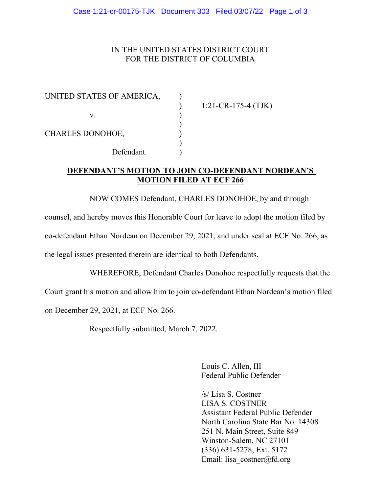## IN THE UNITED STATES DISTRICT COURT FOR THE DISTRICT OF COLUMBIA

| UNITED STATES OF AMERICA, |                        |
|---------------------------|------------------------|
|                           | $1:21$ -CR-175-4 (TJK) |
| V.                        |                        |
|                           |                        |
| <b>CHARLES DONOHOE,</b>   |                        |
|                           |                        |
| Defendant.                |                        |

## **DEFENDANT'S MOTION TO JOIN CO-DEFENDANT NORDEAN'S MOTION FILED AT ECF 266**

NOW COMES Defendant, CHARLES DONOHOE, by and through

counsel, and hereby moves this Honorable Court for leave to adopt the motion filed by co-defendant Ethan Nordean on December 29, 2021, and under seal at ECF No. 266, as the legal issues presented therein are identical to both Defendants.

WHEREFORE, Defendant Charles Donohoe respectfully requests that the Court grant his motion and allow him to join co-defendant Ethan Nordean's motion filed on December 29, 2021, at ECF No. 266.

Respectfully submitted, March 7, 2022.

Louis C. Allen, III Federal Public Defender

/s/ Lisa S. Costner LISA S. COSTNER Assistant Federal Public Defender North Carolina State Bar No. 14308 251 N. Main Street, Suite 849 Winston-Salem, NC 27101 (336) 631-5278, Ext. 5172 Email: lisa\_costner@fd.org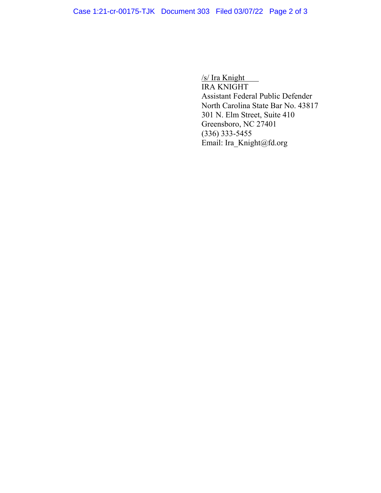/s/ Ira Knight IRA KNIGHT Assistant Federal Public Defender North Carolina State Bar No. 43817 301 N. Elm Street, Suite 410 Greensboro, NC 27401 (336) 333-5455 Email: Ira\_Knight@fd.org